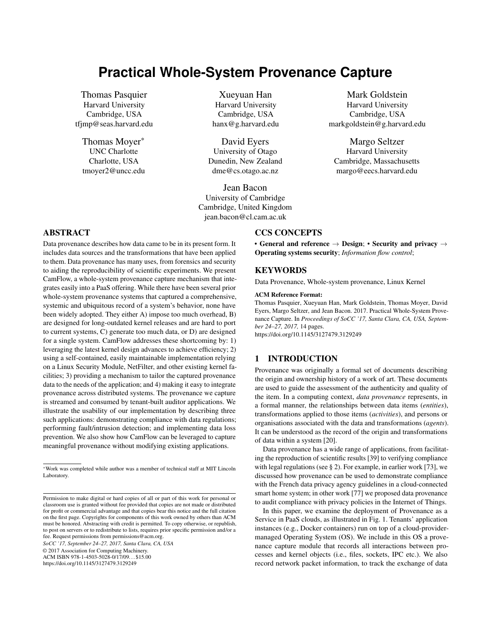# **Practical Whole-System Provenance Capture**

Thomas Pasquier Harvard University Cambridge, USA tfjmp@seas.harvard.edu

Thomas Moyer\* UNC Charlotte Charlotte, USA tmoyer2@uncc.edu

Xueyuan Han Harvard University Cambridge, USA hanx@g.harvard.edu

David Eyers University of Otago Dunedin, New Zealand dme@cs.otago.ac.nz

Jean Bacon University of Cambridge Cambridge, United Kingdom jean.bacon@cl.cam.ac.uk

Mark Goldstein Harvard University Cambridge, USA markgoldstein@g.harvard.edu

Margo Seltzer Harvard University Cambridge, Massachusetts margo@eecs.harvard.edu

# ABSTRACT

Data provenance describes how data came to be in its present form. It includes data sources and the transformations that have been applied to them. Data provenance has many uses, from forensics and security to aiding the reproducibility of scientific experiments. We present CamFlow, a whole-system provenance capture mechanism that integrates easily into a PaaS offering. While there have been several prior whole-system provenance systems that captured a comprehensive, systemic and ubiquitous record of a system's behavior, none have been widely adopted. They either A) impose too much overhead, B) are designed for long-outdated kernel releases and are hard to port to current systems, C) generate too much data, or D) are designed for a single system. CamFlow addresses these shortcoming by: 1) leveraging the latest kernel design advances to achieve efficiency; 2) using a self-contained, easily maintainable implementation relying on a Linux Security Module, NetFilter, and other existing kernel facilities; 3) providing a mechanism to tailor the captured provenance data to the needs of the application; and 4) making it easy to integrate provenance across distributed systems. The provenance we capture is streamed and consumed by tenant-built auditor applications. We illustrate the usability of our implementation by describing three such applications: demonstrating compliance with data regulations; performing fault/intrusion detection; and implementing data loss prevention. We also show how CamFlow can be leveraged to capture meaningful provenance without modifying existing applications.

\*Work was completed while author was a member of technical staff at MIT Lincoln Laboratory.

*SoCC '17, September 24–27, 2017, Santa Clara, CA, USA*

© 2017 Association for Computing Machinery.

ACM ISBN 978-1-4503-5028-0/17/09. . . \$15.00

<https://doi.org/10.1145/3127479.3129249>

# CCS CONCEPTS

• General and reference  $\rightarrow$  Design; • Security and privacy  $\rightarrow$ Operating systems security; *Information flow control*;

# KEYWORDS

Data Provenance, Whole-system provenance, Linux Kernel

### ACM Reference Format:

Thomas Pasquier, Xueyuan Han, Mark Goldstein, Thomas Moyer, David Eyers, Margo Seltzer, and Jean Bacon. 2017. Practical Whole-System Provenance Capture. In *Proceedings of SoCC '17, Santa Clara, CA, USA, September 24–27, 2017,* [14](#page-13-0) pages.

<https://doi.org/10.1145/3127479.3129249>

# 1 INTRODUCTION

Provenance was originally a formal set of documents describing the origin and ownership history of a work of art. These documents are used to guide the assessment of the authenticity and quality of the item. In a computing context, *data provenance* represents, in a formal manner, the relationships between data items (*entities*), transformations applied to those items (*activities*), and persons or organisations associated with the data and transformations (*agents*). It can be understood as the record of the origin and transformations of data within a system [\[20\]](#page-12-0).

Data provenance has a wide range of applications, from facilitating the reproduction of scientific results [\[39\]](#page-12-1) to verifying compliance with legal regulations (see [§ 2\)](#page-1-0). For example, in earlier work [\[73\]](#page-13-1), we discussed how provenance can be used to demonstrate compliance with the French data privacy agency guidelines in a cloud-connected smart home system; in other work [\[77\]](#page-13-2) we proposed data provenance to audit compliance with privacy policies in the Internet of Things.

In this paper, we examine the deployment of Provenance as a Service in PaaS clouds, as illustrated in [Fig. 1.](#page-1-1) Tenants' application instances (e.g., Docker containers) run on top of a cloud-providermanaged Operating System (OS). We include in this OS a provenance capture module that records all interactions between processes and kernel objects (i.e., files, sockets, IPC etc.). We also record network packet information, to track the exchange of data

Permission to make digital or hard copies of all or part of this work for personal or classroom use is granted without fee provided that copies are not made or distributed for profit or commercial advantage and that copies bear this notice and the full citation on the first page. Copyrights for components of this work owned by others than ACM must be honored. Abstracting with credit is permitted. To copy otherwise, or republish, to post on servers or to redistribute to lists, requires prior specific permission and/or a fee. Request permissions from permissions@acm.org.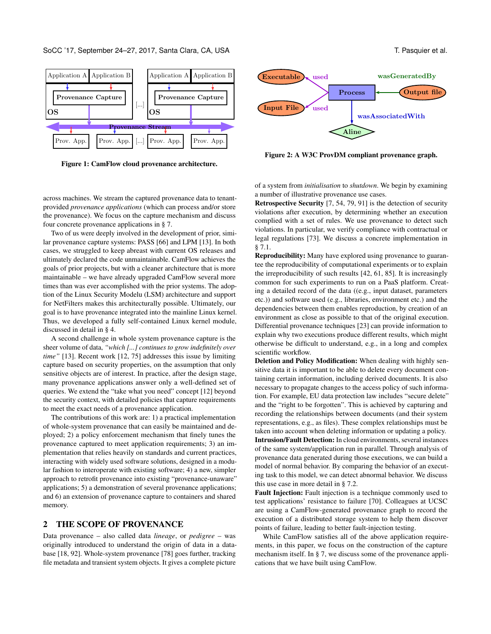SoCC '17, September 24–27, 2017, Santa Clara, CA, USA T. Pasquier et al.

<span id="page-1-1"></span>

Figure 1: CamFlow cloud provenance architecture.

across machines. We stream the captured provenance data to tenantprovided *provenance applications* (which can process and/or store the provenance). We focus on the capture mechanism and discuss four concrete provenance applications in [§ 7.](#page-9-0)

Two of us were deeply involved in the development of prior, similar provenance capture systems: PASS [\[66\]](#page-12-2) and LPM [\[13\]](#page-11-0). In both cases, we struggled to keep abreast with current OS releases and ultimately declared the code unmaintainable. CamFlow achieves the goals of prior projects, but with a cleaner architecture that is more maintainable – we have already upgraded CamFlow several more times than was ever accomplished with the prior systems. The adoption of the Linux Security Modelu (LSM) architecture and support for NetFilters makes this architecturally possible. Ultimately, our goal is to have provenance integrated into the mainline Linux kernel. Thus, we developed a fully self-contained Linux kernel module, discussed in detail in [§ 4.](#page-2-0)

A second challenge in whole system provenance capture is the sheer volume of data, *"which [...] continues to grow indefinitely over time"* [\[13\]](#page-11-0). Recent work [\[12,](#page-11-1) [75\]](#page-13-3) addresses this issue by limiting capture based on security properties, on the assumption that only sensitive objects are of interest. In practice, after the design stage, many provenance applications answer only a well-defined set of queries. We extend the "take what you need" concept [\[12\]](#page-11-1) beyond the security context, with detailed policies that capture requirements to meet the exact needs of a provenance application.

The contributions of this work are: 1) a practical implementation of whole-system provenance that can easily be maintained and deployed; 2) a policy enforcement mechanism that finely tunes the provenance captured to meet application requirements; 3) an implementation that relies heavily on standards and current practices, interacting with widely used software solutions, designed in a modular fashion to interoperate with existing software; 4) a new, simpler approach to retrofit provenance into existing "provenance-unaware" applications; 5) a demonstration of several provenance applications; and 6) an extension of provenance capture to containers and shared memory.

# <span id="page-1-0"></span>2 THE SCOPE OF PROVENANCE

Data provenance – also called data *lineage*, or *pedigree* – was originally introduced to understand the origin of data in a database [\[18,](#page-12-3) [92\]](#page-13-4). Whole-system provenance [\[78\]](#page-13-5) goes further, tracking file metadata and transient system objects. It gives a complete picture

<span id="page-1-2"></span>

Figure 2: A W3C ProvDM compliant provenance graph.

of a system from *initialisation* to *shutdown*. We begin by examining a number of illustrative provenance use cases.

Retrospective Security [\[7,](#page-11-2) [54,](#page-12-4) [79,](#page-13-6) [91\]](#page-13-7) is the detection of security violations after execution, by determining whether an execution complied with a set of rules. We use provenance to detect such violations. In particular, we verify compliance with contractual or legal regulations [\[73\]](#page-13-1). We discuss a concrete implementation in [§ 7.1.](#page-9-1)

Reproducibility: Many have explored using provenance to guarantee the reproducibility of computational experiments or to explain the irreproducibility of such results [\[42,](#page-12-5) [61,](#page-12-6) [85\]](#page-13-8). It is increasingly common for such experiments to run on a PaaS platform. Creating a detailed record of the data ((e.g., input dataset, parameters etc.)) and software used (e.g., libraries, environment etc.) and the dependencies between them enables reproduction, by creation of an environment as close as possible to that of the original execution. Differential provenance techniques [\[23\]](#page-12-7) can provide information to explain why two executions produce different results, which might otherwise be difficult to understand, e.g., in a long and complex scientific workflow.

Deletion and Policy Modification: When dealing with highly sensitive data it is important to be able to delete every document containing certain information, including derived documents. It is also necessary to propagate changes to the access policy of such information. For example, EU data protection law includes "secure delete" and the "right to be forgotten". This is achieved by capturing and recording the relationships between documents (and their system representations, e.g., as files). These complex relationships must be taken into account when deleting information or updating a policy. Intrusion/Fault Detection: In cloud environments, several instances of the same system/application run in parallel. Through analysis of provenance data generated during those executions, we can build a model of normal behavior. By comparing the behavior of an executing task to this model, we can detect abnormal behavior. We discuss this use case in more detail in [§ 7.2.](#page-9-2)

Fault Injection: Fault injection is a technique commonly used to test applications' resistance to failure [\[70\]](#page-13-9). Colleagues at UCSC are using a CamFlow-generated provenance graph to record the execution of a distributed storage system to help them discover points of failure, leading to better fault-injection testing.

While CamFlow satisfies all of the above application requirements, in this paper, we focus on the construction of the capture mechanism itself. In [§ 7,](#page-9-0) we discuss some of the provenance applications that we have built using CamFlow.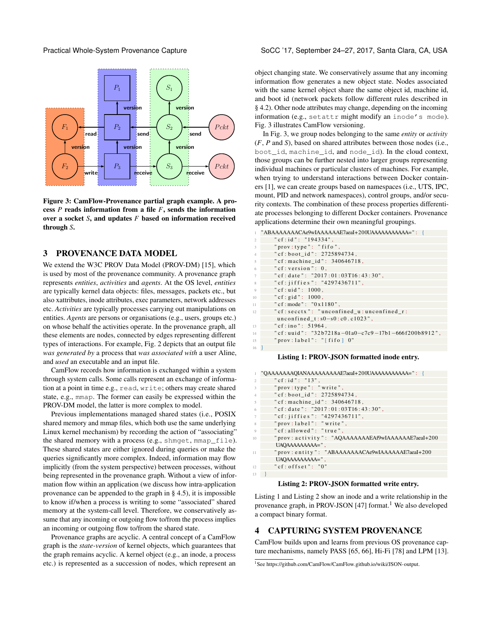<span id="page-2-1"></span>

Figure 3: CamFlow-Provenance partial graph example. A process *P* reads information from a file *F*, sends the information over a socket *S*, and updates *F* based on information received through *S*.

# <span id="page-2-5"></span>3 PROVENANCE DATA MODEL

We extend the W3C PROV Data Model (PROV-DM) [\[15\]](#page-11-3), which is used by most of the provenance community. A provenance graph represents *entities*, *activities* and *agents*. At the OS level, *entities* are typically kernel data objects: files, messages, packets etc., but also xattributes, inode attributes, exec parameters, network addresses etc. *Activities* are typically processes carrying out manipulations on entities. *Agents* are persons or organisations (e.g., users, groups etc.) on whose behalf the activities operate. In the provenance graph, all these elements are nodes, connected by edges representing different types of interactions. For example, [Fig. 2](#page-1-2) depicts that an output file *was generated by* a process that *was associated with* a user Aline, and *used* an executable and an input file.

CamFlow records how information is exchanged within a system through system calls. Some calls represent an exchange of information at a point in time e.g., read, write; others may create shared state, e.g., mmap. The former can easily be expressed within the PROV-DM model, the latter is more complex to model.

Previous implementations managed shared states (i.e., POSIX shared memory and mmap files, which both use the same underlying Linux kernel mechanism) by recording the action of "associating" the shared memory with a process (e.g., shmget, mmap\_file). These shared states are either ignored during queries or make the queries significantly more complex. Indeed, information may flow implicitly (from the system perspective) between processes, without being represented in the provenance graph. Without a view of information flow within an application (we discuss how intra-application provenance can be appended to the graph in [§ 4.5\)](#page-4-0), it is impossible to know if/when a process is writing to some "associated" shared memory at the system-call level. Therefore, we conservatively assume that any incoming or outgoing flow to/from the process implies an incoming or outgoing flow to/from the shared state.

Provenance graphs are acyclic. A central concept of a CamFlow graph is the *state-version* of kernel objects, which guarantees that the graph remains acyclic. A kernel object (e.g., an inode, a process etc.) is represented as a succession of nodes, which represent an

### Practical Whole-System Provenance Capture SoCC '17, September 24–27, 2017, Santa Clara, CA, USA

object changing state. We conservatively assume that any incoming information flow generates a new object state. Nodes associated with the same kernel object share the same object id, machine id, and boot id (network packets follow different rules described in [§ 4.2\)](#page-3-0). Other node attributes may change, depending on the incoming information (e.g., setattr might modify an inode's mode). [Fig. 3](#page-2-1) illustrates CamFlow versioning.

In [Fig. 3,](#page-2-1) we group nodes belonging to the same *entity* or *activity* (*F*, *P* and *S*), based on shared attributes between those nodes (i.e., boot\_id, machine\_id, and node\_id). In the cloud context, those groups can be further nested into larger groups representing individual machines or particular clusters of machines. For example, when trying to understand interactions between Docker containers [\[1\]](#page-11-4), we can create groups based on namespaces (i.e., UTS, IPC, mount, PID and network namespaces), control groups, and/or security contexts. The combination of these process properties differentiate processes belonging to different Docker containers. Provenance applications determine their own meaningful groupings.

<span id="page-2-2"></span>1 "ABAAAAAAACAe9wIAAAAAAE7aeaI+200UAAAAAAAAAAA=" : {

| 2               | " $cf$ : id": "194334",                            |
|-----------------|----------------------------------------------------|
| 3               | " $prox: type$ ": " $fifo$ ",                      |
| $\overline{4}$  | "cf:boot id": 2725894734,                          |
| $\sim$          | "cf: machine id": 340646718,                       |
| 6               | " $cf: version$ ": 0,                              |
| $7\phantom{.0}$ | "cf:date": "2017:01:03T16:43:30",                  |
| 8               | "cf: jiffies": "4297436711",                       |
| Q               | " $cf:$ uid": 1000,                                |
| 10              | " $cf: gid": 1000$ ,                               |
| 11              | " $cf: mode" : "0x1180".$                          |
| 12              | "cf:secctx": "unconfined u:unconfined r:           |
|                 | unconfined $t: s0-s0:c0.c1023$ ",                  |
| 13              | " $cf:ino$ ": 51964,                               |
| 14              | "cf:uuid": "32b7218a-01a0-c7c9-17b1-666f200b8912", |
| 15              | "prov: label": "[fifo] $0$ "                       |
| 16              |                                                    |
|                 |                                                    |

# Listing 1: PROV-JSON formatted inode entry.

<span id="page-2-3"></span>1 "QAAAAAAAQIANAAAAAAAAAE7aeaI+200UAAAAAAAAAAA=" : {

| $\mathfrak{D}$ | "cf:id": "13",                                     |
|----------------|----------------------------------------------------|
| $\mathcal{R}$  | " $prox: type$ ": "write",                         |
| $\overline{4}$ | "cf:boot id": 2725894734,                          |
| $\overline{5}$ | "cf: machine id": 340646718,                       |
| -6             | "cf:date": "2017:01:03T16:43:30",                  |
| $\tau$         | "cf: jiffies": "4297436711",                       |
| 8              | "prov:label": "write",                             |
| Q              | " $cf: allowed"$ : "true",                         |
| 10             | "prov: activity": "AQAAAAAAAEAf9wIAAAAAAE7aeaI+200 |
|                | UAQAAAAAAAAA=",                                    |
| 11             | "prov: entity": "ABAAAAAAACAe9wIAAAAAAE7aeaI+200   |
|                | UAQAAAAAAAAA=",                                    |
| 12             | " $cf: offset" : "0"$                              |
| 13             |                                                    |
|                |                                                    |

### Listing 2: PROV-JSON formatted write entry.

[Listing 1](#page-2-2) and [Listing 2](#page-2-3) show an inode and a write relationship in the provenance graph, in PROV-JSON  $[47]$  format.<sup>[1](#page-2-4)</sup> We also developed a compact binary format.

# <span id="page-2-0"></span>4 CAPTURING SYSTEM PROVENANCE

CamFlow builds upon and learns from previous OS provenance capture mechanisms, namely PASS [\[65,](#page-12-9) [66\]](#page-12-2), Hi-Fi [\[78\]](#page-13-5) and LPM [\[13\]](#page-11-0).

<span id="page-2-4"></span><sup>1</sup>See [https://github.com/CamFlow/CamFlow.github.io/wiki/JSON-output.](https://github.com/CamFlow/CamFlow.github.io/wiki/JSON-output)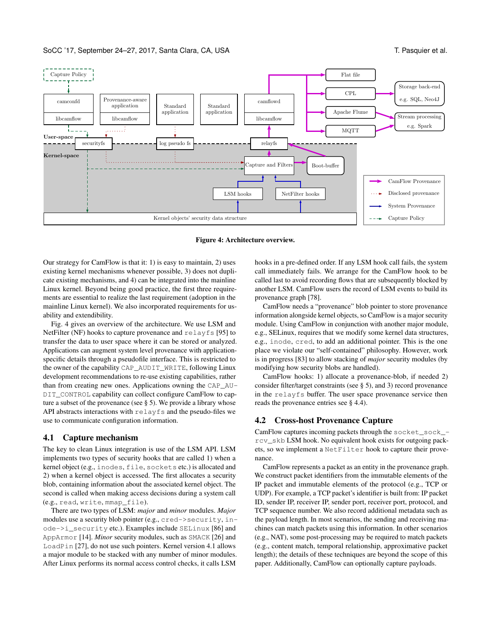### SoCC '17, September 24–27, 2017, Santa Clara, CA, USA T. Pasquier et al.

<span id="page-3-1"></span>

Figure 4: Architecture overview.

Our strategy for CamFlow is that it: 1) is easy to maintain, 2) uses existing kernel mechanisms whenever possible, 3) does not duplicate existing mechanisms, and 4) can be integrated into the mainline Linux kernel. Beyond being good practice, the first three requirements are essential to realize the last requirement (adoption in the mainline Linux kernel). We also incorporated requirements for usability and extendibility.

[Fig. 4](#page-3-1) gives an overview of the architecture. We use LSM and NetFilter (NF) hooks to capture provenance and relayfs [\[95\]](#page-13-10) to transfer the data to user space where it can be stored or analyzed. Applications can augment system level provenance with applicationspecific details through a pseudofile interface. This is restricted to the owner of the capability CAP\_AUDIT\_WRITE, following Linux development recommendations to re-use existing capabilities, rather than from creating new ones. Applications owning the CAP\_AU-DIT\_CONTROL capability can collect configure CamFlow to capture a subset of the provenance (see [§ 5\)](#page-5-0). We provide a library whose API abstracts interactions with relayfs and the pseudo-files we use to communicate configuration information.

### <span id="page-3-2"></span>4.1 Capture mechanism

The key to clean Linux integration is use of the LSM API. LSM implements two types of security hooks that are called 1) when a kernel object (e.g., inodes, file, sockets etc.) is allocated and 2) when a kernel object is accessed. The first allocates a security blob, containing information about the associated kernel object. The second is called when making access decisions during a system call (e.g., read, write, mmap\_file).

There are two types of LSM: *major* and *minor* modules. *Major* modules use a security blob pointer (e.g., cred->security, inode->i\_security etc.). Examples include SELinux [\[86\]](#page-13-11) and AppArmor [\[14\]](#page-11-5). *Minor* security modules, such as SMACK [\[26\]](#page-12-10) and LoadPin [\[27\]](#page-12-11), do not use such pointers. Kernel version 4.1 allows a major module to be stacked with any number of minor modules. After Linux performs its normal access control checks, it calls LSM

hooks in a pre-defined order. If any LSM hook call fails, the system call immediately fails. We arrange for the CamFlow hook to be called last to avoid recording flows that are subsequently blocked by another LSM. CamFlow users the record of LSM events to build its provenance graph [\[78\]](#page-13-5).

CamFlow needs a "provenance" blob pointer to store provenance information alongside kernel objects, so CamFlow is a major security module. Using CamFlow in conjunction with another major module, e.g., SELinux, requires that we modify some kernel data structures, e.g., inode, cred, to add an additional pointer. This is the one place we violate our "self-contained" philosophy. However, work is in progress [\[83\]](#page-13-12) to allow stacking of *major* security modules (by modifying how security blobs are handled).

CamFlow hooks: 1) allocate a provenance-blob, if needed 2) consider filter/target constraints (see [§ 5\)](#page-5-0), and 3) record provenance in the relayfs buffer. The user space provenance service then reads the provenance entries see [§ 4.4\)](#page-4-1).

### <span id="page-3-0"></span>4.2 Cross-host Provenance Capture

CamFlow captures incoming packets through the socket\_sock\_ rcv\_skb LSM hook. No equivalent hook exists for outgoing packets, so we implement a NetFilter hook to capture their provenance.

CamFlow represents a packet as an entity in the provenance graph. We construct packet identifiers from the immutable elements of the IP packet and immutable elements of the protocol (e.g., TCP or UDP). For example, a TCP packet's identifier is built from: IP packet ID, sender IP, receiver IP, sender port, receiver port, protocol, and TCP sequence number. We also record additional metadata such as the payload length. In most scenarios, the sending and receiving machines can match packets using this information. In other scenarios (e.g., NAT), some post-processing may be required to match packets (e.g., content match, temporal relationship, approximative packet length); the details of these techniques are beyond the scope of this paper. Additionally, CamFlow can optionally capture payloads.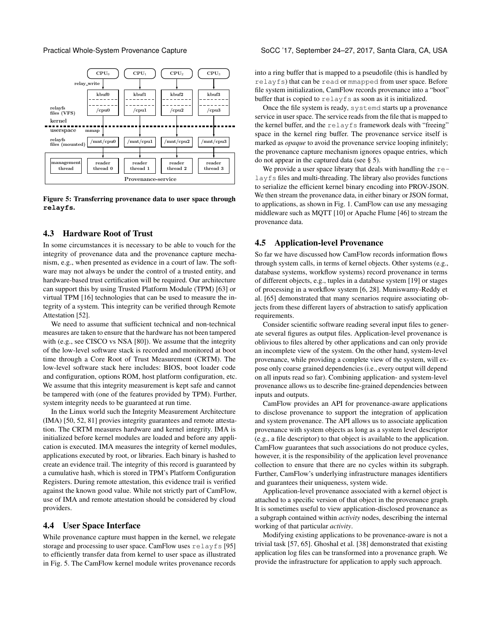<span id="page-4-2"></span>

Figure 5: Transferring provenance data to user space through **relayfs**.

# 4.3 Hardware Root of Trust

In some circumstances it is necessary to be able to vouch for the integrity of provenance data and the provenance capture mechanism, e.g., when presented as evidence in a court of law. The software may not always be under the control of a trusted entity, and hardware-based trust certification will be required. Our architecture can support this by using Trusted Platform Module (TPM) [\[63\]](#page-12-12) or virtual TPM [\[16\]](#page-12-13) technologies that can be used to measure the integrity of a system. This integrity can be verified through Remote Attestation [\[52\]](#page-12-14).

We need to assume that sufficient technical and non-technical measures are taken to ensure that the hardware has not been tampered with (e.g., see CISCO vs NSA [\[80\]](#page-13-13)). We assume that the integrity of the low-level software stack is recorded and monitored at boot time through a Core Root of Trust Measurement (CRTM). The low-level software stack here includes: BIOS, boot loader code and configuration, options ROM, host platform configuration, etc. We assume that this integrity measurement is kept safe and cannot be tampered with (one of the features provided by TPM). Further, system integrity needs to be guaranteed at run time.

In the Linux world such the Integrity Measurement Architecture (IMA) [\[50,](#page-12-15) [52,](#page-12-14) [81\]](#page-13-14) provies integrity guarantees and remote attestation. The CRTM measures hardware and kernel integrity. IMA is initialized before kernel modules are loaded and before any application is executed. IMA measures the integrity of kernel modules, applications executed by root, or libraries. Each binary is hashed to create an evidence trail. The integrity of this record is guaranteed by a cumulative hash, which is stored in TPM's Platform Configuration Registers. During remote attestation, this evidence trail is verified against the known good value. While not strictly part of CamFlow, use of IMA and remote attestation should be considered by cloud providers.

# <span id="page-4-1"></span>4.4 User Space Interface

While provenance capture must happen in the kernel, we relegate storage and processing to user space. CamFlow uses relayfs [\[95\]](#page-13-10) to efficiently transfer data from kernel to user space as illustrated in [Fig. 5.](#page-4-2) The CamFlow kernel module writes provenance records into a ring buffer that is mapped to a pseudofile (this is handled by relayfs) that can be read or mmapped from user space. Before file system initialization, CamFlow records provenance into a "boot" buffer that is copied to relayfs as soon as it is initialized.

Once the file system is ready, systemd starts up a provenance service in user space. The service reads from the file that is mapped to the kernel buffer, and the relayfs framework deals with "freeing" space in the kernel ring buffer. The provenance service itself is marked as *opaque* to avoid the provenance service looping infinitely; the provenance capture mechanism ignores opaque entries, which do not appear in the captured data (see [§ 5\)](#page-5-0).

We provide a user space library that deals with handling the  $re$ layfs files and multi-threading. The library also provides functions to serialize the efficient kernel binary encoding into PROV-JSON. We then stream the provenance data, in either binary or JSON format, to applications, as shown in [Fig. 1.](#page-1-1) CamFlow can use any messaging middleware such as MQTT [\[10\]](#page-11-6) or Apache Flume [\[46\]](#page-12-16) to stream the provenance data.

# <span id="page-4-0"></span>4.5 Application-level Provenance

So far we have discussed how CamFlow records information flows through system calls, in terms of kernel objects. Other systems (e.g., database systems, workflow systems) record provenance in terms of different objects, e.g., tuples in a database system [\[19\]](#page-12-17) or stages of processing in a workflow system [\[6,](#page-11-7) [28\]](#page-12-18). Muniswamy-Reddy et al. [\[65\]](#page-12-9) demonstrated that many scenarios require associating objects from these different layers of abstraction to satisfy application requirements.

Consider scientific software reading several input files to generate several figures as output files. Application-level provenance is oblivious to files altered by other applications and can only provide an incomplete view of the system. On the other hand, system-level provenance, while providing a complete view of the system, will expose only coarse grained dependencies (i.e., every output will depend on all inputs read so far). Combining application- and system-level provenance allows us to describe fine-grained dependencies between inputs and outputs.

CamFlow provides an API for provenance-aware applications to disclose provenance to support the integration of application and system provenance. The API allows us to associate application provenance with system objects as long as a system level descriptor (e.g., a file descriptor) to that object is available to the application. CamFlow guarantees that such associations do not produce cycles, however, it is the responsibility of the application level provenance collection to ensure that there are no cycles within its subgraph. Further, CamFlow's underlying infrastructure manages identifiers and guarantees their uniqueness, system wide.

Application-level provenance associated with a kernel object is attached to a specific version of that object in the provenance graph. It is sometimes useful to view application-disclosed provenance as a subgraph contained within *activity* nodes, describing the internal working of that particular *activity*.

Modifying existing applications to be provenance-aware is not a trivial task [\[57,](#page-12-19) [65\]](#page-12-9). Ghoshal et al. [\[38\]](#page-12-20) demonstrated that existing application log files can be transformed into a provenance graph. We provide the infrastructure for application to apply such approach.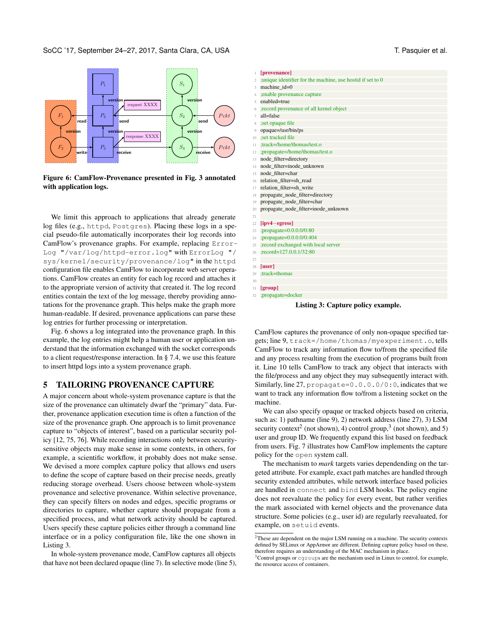SoCC '17, September 24–27, 2017, Santa Clara, CA, USA T. Pasquier et al.

<span id="page-5-1"></span>

Figure 6: CamFlow-Provenance presented in [Fig. 3](#page-2-1) annotated with application logs.

We limit this approach to applications that already generate log files (e.g., httpd, Postgres). Placing these logs in a special pseudo-file automatically incorporates their log records into CamFlow's provenance graphs. For example, replacing Error-Log "/var/log/httpd-error.log" with ErrorLog "/ sys/kernel/security/provenance/log" in the httpd configuration file enables CamFlow to incorporate web server operations. CamFlow creates an entity for each log record and attaches it to the appropriate version of activity that created it. The log record entities contain the text of the log message, thereby providing annotations for the provenance graph. This helps make the graph more human-readable. If desired, provenance applications can parse these log entries for further processing or interpretation.

[Fig. 6](#page-5-1) shows a log integrated into the provenance graph. In this example, the log entries might help a human user or application understand that the information exchanged with the socket corresponds to a client request/response interaction. In [§ 7.4,](#page-10-0) we use this feature to insert httpd logs into a system provenance graph.

# <span id="page-5-0"></span>5 TAILORING PROVENANCE CAPTURE

A major concern about whole-system provenance capture is that the size of the provenance can ultimately dwarf the "primary" data. Further, provenance application execution time is often a function of the size of the provenance graph. One approach is to limit provenance capture to "objects of interest", based on a particular security policy [\[12,](#page-11-1) [75,](#page-13-3) [76\]](#page-13-15). While recording interactions only between securitysensitive objects may make sense in some contexts, in others, for example, a scientific workflow, it probably does not make sense. We devised a more complex capture policy that allows end users to define the scope of capture based on their precise needs, greatly reducing storage overhead. Users choose between whole-system provenance and selective provenance. Within selective provenance, they can specify filters on nodes and edges, specific programs or directories to capture, whether capture should propagate from a specified process, and what network activity should be captured. Users specify these capture policies either through a command line interface or in a policy configuration file, like the one shown in [Listing 3.](#page-5-2)

In whole-system provenance mode, CamFlow captures all objects that have not been declared opaque (line 7). In selective mode (line 5),

<span id="page-5-2"></span> [provenance] ;unique identifier for the machine, use hostid if set to 0 3 machine id=0 ;enable provenance capture enabled=true ;record provenance of all kernel object all=false ;set opaque file opaque=/usr/bin/ps ;set tracked file ;track=/home/thomas/test.o ;propagate=/home/thomas/test.o 13 node filter=directory node\_filter=inode\_unknown 15 node filter=char relation\_filter=sh\_read relation\_filter=sh\_write propagate\_node\_filter=directory propagate\_node\_filter=char propagate\_node\_filter=inode\_unknown 21 [ipv4−egress] ;propagate=0.0.0.0/0:80 ;propagate=0.0.0.0/0:404 ;record exchanged with local server ;record=127.0.0.1/32:80 27 28 [user] ;track=thomas 30 31 [group] ;propagate=docker

Listing 3: Capture policy example.

CamFlow captures the provenance of only non-opaque specified targets; line 9, track=/home/thomas/myexperiment.o, tells CamFlow to track any information flow to/from the specified file and any process resulting from the execution of programs built from it. Line 10 tells CamFlow to track any object that interacts with the file/process and any object they may subsequently interact with. Similarly, line 27, propagate=0.0.0.0/0:0, indicates that we want to track any information flow to/from a listening socket on the machine.

We can also specify opaque or tracked objects based on criteria, such as: 1) pathname (line 9), 2) network address (line 27), 3) LSM security context<sup>[2](#page-5-3)</sup> (not shown), 4) control group,<sup>[3](#page-5-4)</sup> (not shown), and 5) user and group ID. We frequently expand this list based on feedback from users. [Fig. 7](#page-6-0) illustrates how CamFlow implements the capture policy for the open system call.

The mechanism to *mark* targets varies dependending on the targeted attribute. For example, exact path matches are handled through security extended attributes, while network interface based policies are handled in connect and bind LSM hooks. The policy engine does not reevaluate the policy for every event, but rather verifies the mark associated with kernel objects and the provenance data structure. Some policies (e.g., user id) are regularly reevaluated, for example, on setuid events.

<span id="page-5-3"></span><sup>2</sup>These are dependent on the major LSM running on a machine. The security contexts defined by SELinux or AppArmor are different. Defining capture policy based on these, therefore requires an understanding of the MAC mechanism in place.

<span id="page-5-4"></span><sup>&</sup>lt;sup>3</sup>Control groups or cgroups are the mechanism used in Linux to control, for example, the resource access of containers.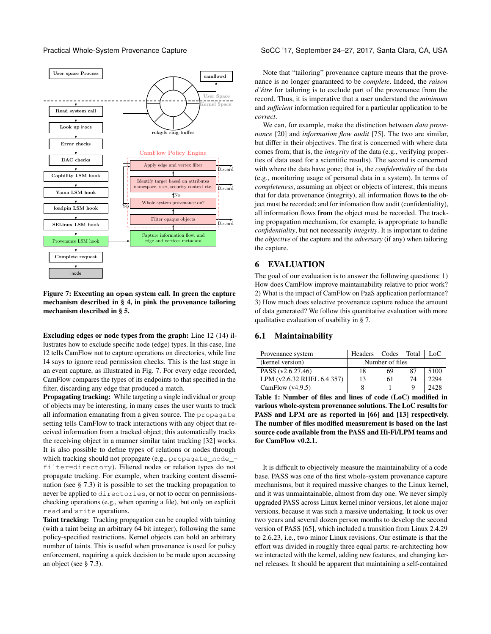<span id="page-6-0"></span>

Figure 7: Executing an **open** system call. In green the capture mechanism described in [§ 4,](#page-2-0) in pink the provenance tailoring mechanism described in [§ 5.](#page-5-0)

Excluding edges or node types from the graph: Line 12 (14) illustrates how to exclude specific node (edge) types. In this case, line 12 tells CamFlow not to capture operations on directories, while line 14 says to ignore read permission checks. This is the last stage in an event capture, as illustrated in [Fig. 7.](#page-6-0) For every edge recorded, CamFlow compares the types of its endpoints to that specified in the filter, discarding any edge that produced a match.

Propagating tracking: While targeting a single individual or group of objects may be interesting, in many cases the user wants to track all information emanating from a given source. The propagate setting tells CamFlow to track interactions with any object that received information from a tracked object; this automatically tracks the receiving object in a manner similar taint tracking [\[32\]](#page-12-21) works. It is also possible to define types of relations or nodes through which tracking should not propagate (e.g., propagate\_node\_ filter=directory). Filtered nodes or relation types do not propagate tracking. For example, when tracking content dissemination (see [§ 7.3\)](#page-10-1) it is possible to set the tracking propagation to never be applied to directories, or not to occur on permissionschecking operations (e.g., when opening a file), but only on explicit read and write operations.

Taint tracking: Tracking propagation can be coupled with tainting (with a taint being an arbitrary 64 bit integer), following the same policy-specified restrictions. Kernel objects can hold an arbitrary number of taints. This is useful when provenance is used for policy enforcement, requiring a quick decision to be made upon accessing an object (see [§ 7.3\)](#page-10-1).

### Practical Whole-System Provenance Capture SoCC '17, September 24–27, 2017, Santa Clara, CA, USA

Note that "tailoring" provenance capture means that the provenance is no longer guaranteed to be *complete*. Indeed, the *raison d'être* for tailoring is to exclude part of the provenance from the record. Thus, it is imperative that a user understand the *minimum* and *sufficient* information required for a particular application to be *correct*.

We can, for example, make the distinction between *data provenance* [\[20\]](#page-12-0) and *information flow audit* [\[75\]](#page-13-3). The two are similar, but differ in their objectives. The first is concerned with where data comes from; that is, the *integrity* of the data (e.g., verifying properties of data used for a scientific results). The second is concerned with where the data have gone; that is, the *confidentiality* of the data (e.g., monitoring usage of personal data in a system). In terms of *completeness*, assuming an object or objects of interest, this means that for data provenance (integrity), all information flows to the object must be recorded; and for infomation flow audit (confidentiality), all information flows from the object must be recorded. The tracking propagation mechanism, for example, is appropriate to handle *confidentiality*, but not necessarily *integrity*. It is important to define the *objective* of the capture and the *adversary* (if any) when tailoring the capture.

# <span id="page-6-2"></span>6 EVALUATION

The goal of our evaluation is to answer the following questions: 1) How does CamFlow improve maintainability relative to prior work? 2) What is the impact of CamFlow on PaaS application performance? 3) How much does selective provenance capture reduce the amount of data generated? We follow this quantitative evaluation with more qualitative evaluation of usability in [§ 7.](#page-9-0)

# 6.1 Maintainability

<span id="page-6-1"></span>

| Provenance system          | Headers Codes Total |                 |    | LoC  |
|----------------------------|---------------------|-----------------|----|------|
| (kernel version)           |                     | Number of files |    |      |
| PASS (v2.6.27.46)          | 18                  | 69              | 87 | 5100 |
| LPM (v2.6.32 RHEL 6.4.357) | 13                  | 61              | 74 | 2294 |
| CamFlow $(v4.9.5)$         | 8                   |                 | Q  | 2428 |

Table 1: Number of files and lines of code (LoC) modified in various whole-system provenance solutions. The LoC results for PASS and LPM are as reported in [\[66\]](#page-12-2) and [\[13\]](#page-11-0) respectively. The number of files modified measurement is based on the last source code available from the PASS and Hi-Fi/LPM teams and for CamFlow v0.2.1.

It is difficult to objectively measure the maintainability of a code base. PASS was one of the first whole-system provenance capture mechanisms, but it required massive changes to the Linux kernel, and it was unmaintainable, almost from day one. We never simply upgraded PASS across Linux kernel minor versions, let alone major versions, because it was such a massive undertaking. It took us over two years and several dozen person months to develop the second version of PASS [\[65\]](#page-12-9), which included a transition from Linux 2.4.29 to 2.6.23, i.e., two minor Linux revisions. Our estimate is that the effort was divided in roughly three equal parts: re-architecting how we interacted with the kernel, adding new features, and changing kernel releases. It should be apparent that maintaining a self-contained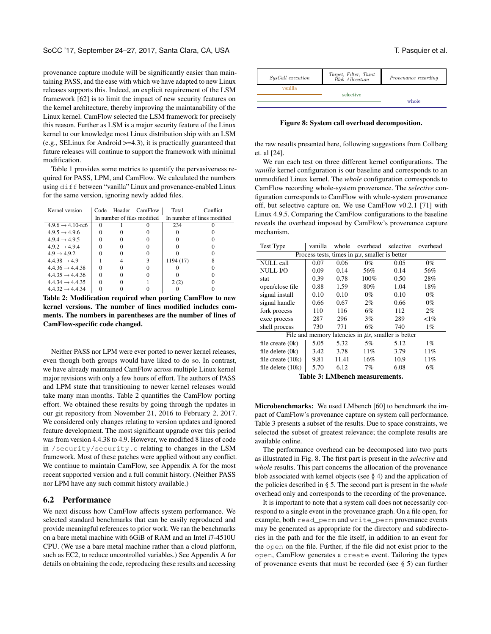provenance capture module will be significantly easier than maintaining PASS, and the ease with which we have adapted to new Linux releases supports this. Indeed, an explicit requirement of the LSM framework [\[62\]](#page-12-22) is to limit the impact of new security features on the kernel architecture, thereby improving the maintanability of the Linux kernel. CamFlow selected the LSM framework for precisely this reason. Further as LSM is a major security feature of the Linux kernel to our knowledge most Linux distribution ship with an LSM (e.g., SELinux for Android >=4.3), it is practically guaranteed that future releases will continue to support the framework with minimal modification.

[Table 1](#page-6-1) provides some metrics to quantify the pervasiveness required for PASS, LPM, and CamFlow. We calculated the numbers using diff between "vanilla" Linux and provenance-enabled Linux for the same version, ignoring newly added files.

<span id="page-7-0"></span>

| Kernel version                | Code                        | Header   | CamFlow  | Total                       | Conflict |
|-------------------------------|-----------------------------|----------|----------|-----------------------------|----------|
|                               | In number of files modified |          |          | In number of lines modified |          |
| $4.9.6 \rightarrow 4.10$ -rc6 | $\theta$                    |          | $\theta$ | 234                         |          |
| $4.9.5 \rightarrow 4.9.6$     | $\theta$                    |          |          |                             |          |
| $4.9.4 \rightarrow 4.9.5$     |                             | $\theta$ |          |                             |          |
| $4.9.2 \rightarrow 4.9.4$     |                             |          |          |                             |          |
| $4.9 \rightarrow 4.9.2$       |                             |          |          |                             |          |
| $4.4.38 \rightarrow 4.9$      |                             |          | 3        | 1194 (17)                   |          |
| $4.4.36 \rightarrow 4.4.38$   |                             |          |          |                             |          |
| $4.4.35 \rightarrow 4.4.36$   |                             |          |          |                             |          |
| $4.4.34 \rightarrow 4.4.35$   |                             |          |          | 2(2)                        |          |
| $4.4.32 \rightarrow 4.4.34$   |                             |          |          |                             |          |

Table 2: Modification required when porting CamFlow to new kernel versions. The number of lines modified includes comments. The numbers in parentheses are the number of lines of CamFlow-specific code changed.

Neither PASS nor LPM were ever ported to newer kernel releases, even though both groups would have liked to do so. In contrast, we have already maintained CamFlow across multiple Linux kernel major revisions with only a few hours of effort. The authors of PASS and LPM state that transitioning to newer kernel releases would take many man months. [Table 2](#page-7-0) quantifies the CamFlow porting effort. We obtained these results by going through the updates in our git repository from November 21, 2016 to February 2, 2017. We considered only changes relating to version updates and ignored feature development. The most significant upgrade over this period was from version 4.4.38 to 4.9. However, we modified 8 lines of code in /security/security.c relating to changes in the LSM framework. Most of these patches were applied without any conflict. We continue to maintain CamFlow, see [Appendix A](#page-13-16) for the most recent supported version and a full commit history. (Neither PASS nor LPM have any such commit history available.)

### 6.2 Performance

We next discuss how CamFlow affects system performance. We selected standard benchmarks that can be easily reproduced and provide meaningful references to prior work. We ran the benchmarks on a bare metal machine with 6GiB of RAM and an Intel i7-4510U CPU. (We use a bare metal machine rather than a cloud platform, such as EC2, to reduce uncontrolled variables.) See [Appendix A](#page-13-16) for details on obtaining the code, reproducing these results and accessing

<span id="page-7-2"></span>

| SysCall execution | Target, Filter, Taint<br>Blob Allocation | Provenance recording |
|-------------------|------------------------------------------|----------------------|
| vanilla           |                                          |                      |
|                   | selective                                |                      |
|                   |                                          | whole                |

Figure 8: System call overhead decomposition.

the raw results presented here, following suggestions from Collberg et. al [\[24\]](#page-12-23).

We run each test on three different kernel configurations. The *vanilla* kernel configuration is our baseline and corresponds to an unmodified Linux kernel. The *whole* configuration corresponds to CamFlow recording whole-system provenance. The *selective* configuration corresponds to CamFlow with whole-system provenance off, but selective capture on. We use CamFlow v0.2.1 [\[71\]](#page-13-17) with Linux 4.9.5. Comparing the CamFlow configurations to the baseline reveals the overhead imposed by CamFlow's provenance capture mechanism.

<span id="page-7-1"></span>

| <b>Test Type</b>                                         | vanilla | whole | overhead | selective | overhead |  |  |
|----------------------------------------------------------|---------|-------|----------|-----------|----------|--|--|
| Process tests, times in $\mu s$ , smaller is better      |         |       |          |           |          |  |  |
| <b>NULL</b> call                                         | 0.07    | 0.06  | $0\%$    | 0.05      | $0\%$    |  |  |
| NULL I/O                                                 | 0.09    | 0.14  | 56%      | 0.14      | 56%      |  |  |
| stat                                                     | 0.39    | 0.78  | 100%     | 0.50      | 28%      |  |  |
| open/close file                                          | 0.88    | 1.59  | 80%      | 1.04      | 18%      |  |  |
| signal install                                           | 0.10    | 0.10  | $0\%$    | 0.10      | $0\%$    |  |  |
| signal handle                                            | 0.66    | 0.67  | 2%       | 0.66      | $0\%$    |  |  |
| fork process                                             | 110     | 116   | 6%       | 112       | 2%       |  |  |
| exec process                                             | 287     | 296   | 3%       | 289       | ${<}1\%$ |  |  |
| shell process                                            | 730     | 771   | 6%       | 740       | $1\%$    |  |  |
| File and memory latencies in $\mu s$ , smaller is better |         |       |          |           |          |  |  |
| file create $(0k)$                                       | 5.05    | 5.32  | 5%       | 5.12      | $1\%$    |  |  |
| file delete $(0k)$                                       | 3.42    | 3.78  | 11%      | 3.79      | 11%      |  |  |
| file create $(10k)$                                      | 9.81    | 11.41 | 16%      | 10.9      | 11%      |  |  |
| file delete $(10k)$                                      | 5.70    | 6.12  | 7%       | 6.08      | 6%       |  |  |

Table 3: LMbench measurements.

Microbenchmarks: We used LMbench [\[60\]](#page-12-24) to benchmark the impact of CamFlow's provenance capture on system call performance. [Table 3](#page-7-1) presents a subset of the results. Due to space constraints, we selected the subset of greatest relevance; the complete results are available online.

The performance overhead can be decomposed into two parts as illustrated in [Fig. 8.](#page-7-2) The first part is present in the *selective* and *whole* results. This part concerns the allocation of the provenance blob associated with kernel objects (see [§ 4\)](#page-2-0) and the application of the policies described in [§ 5.](#page-5-0) The second part is present in the *whole* overhead only and corresponds to the recording of the provenance.

It is important to note that a system call does not necessarily correspond to a single event in the provenance graph. On a file open, for example, both read\_perm and write\_perm provenance events may be generated as appropriate for the directory and subdirectories in the path and for the file itself, in addition to an event for the open on the file. Further, if the file did not exist prior to the open, CamFlow generates a create event. Tailoring the types of provenance events that must be recorded (see [§ 5\)](#page-5-0) can further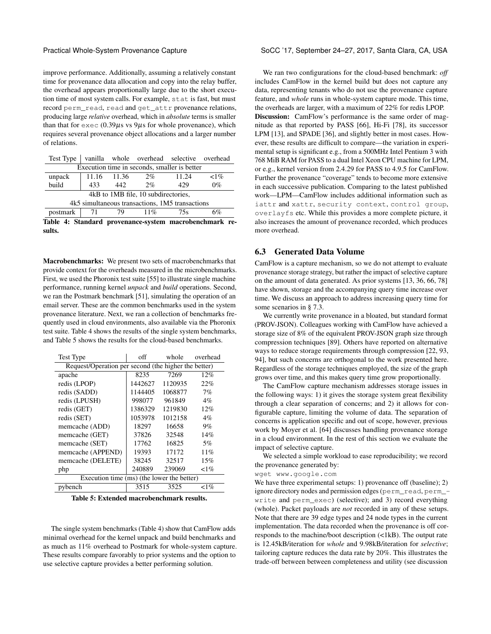improve performance. Additionally, assuming a relatively constant time for provenance data allocation and copy into the relay buffer, the overhead appears proportionally large due to the short execution time of most system calls. For example, stat is fast, but must record perm read, read and get attr provenance relations, producing large *relative* overhead, which in *absolute* terms is smaller than that for exec  $(0.39\mu s$  vs  $9\mu s$  for whole provenance), which requires several provenance object allocations and a larger number of relations.

<span id="page-8-0"></span>

|                                                 |       |       | Test Type   vanilla whole overhead selective overhead |       |          |  |  |  |
|-------------------------------------------------|-------|-------|-------------------------------------------------------|-------|----------|--|--|--|
| Execution time in seconds, smaller is better    |       |       |                                                       |       |          |  |  |  |
| unpack                                          | 11.16 | 11.36 | $2\%$                                                 | 11.24 | ${<}1\%$ |  |  |  |
| build                                           | 433   | 442   | 2%                                                    | 429   | $0\%$    |  |  |  |
| 4kB to 1MB file, 10 subdirectories,             |       |       |                                                       |       |          |  |  |  |
| 4k5 simultaneous transactions, 1M5 transactions |       |       |                                                       |       |          |  |  |  |
| postmark                                        | 71    | 79    | 11%                                                   | 75s   |          |  |  |  |

Table 4: Standard provenance-system macrobenchmark results.

Macrobenchmarks: We present two sets of macrobenchmarks that provide context for the overheads measured in the microbenchmarks. First, we used the Phoronix test suite [\[55\]](#page-12-25) to illustrate single machine performance, running kernel *unpack* and *build* operations. Second, we ran the Postmark benchmark [\[51\]](#page-12-26), simulating the operation of an email server. These are the common benchmarks used in the system provenance literature. Next, we ran a collection of benchmarks frequently used in cloud environments, also available via the Phoronix test suite. [Table 4](#page-8-0) shows the results of the single system benchmarks, and [Table 5](#page-8-1) shows the results for the cloud-based benchmarks.

<span id="page-8-1"></span>

| <b>Test Type</b>                                     | off     | whole   | overhead |  |  |  |  |
|------------------------------------------------------|---------|---------|----------|--|--|--|--|
| Request/Operation per second (the higher the better) |         |         |          |  |  |  |  |
| apache                                               | 8235    | 7269    | 12%      |  |  |  |  |
| redis (LPOP)                                         | 1442627 | 1120935 | 22%      |  |  |  |  |
| redis (SADD)                                         | 1144405 | 1068877 | 7%       |  |  |  |  |
| redis (LPUSH)                                        | 998077  | 961849  | $4\%$    |  |  |  |  |
| redis (GET)                                          | 1386329 | 1219830 | 12%      |  |  |  |  |
| redis (SET)                                          | 1053978 | 1012158 | $4\%$    |  |  |  |  |
| memcache (ADD)                                       | 18297   | 16658   | 9%       |  |  |  |  |
| memcache (GET)                                       | 37826   | 32548   | 14%      |  |  |  |  |
| memcache (SET)                                       | 17762   | 16825   | 5%       |  |  |  |  |
| memcache (APPEND)                                    | 19393   | 17172   | 11%      |  |  |  |  |
| memcache (DELETE)                                    | 38245   | 32517   | 15%      |  |  |  |  |
| php                                                  | 240889  | 239069  | $1\%$    |  |  |  |  |
| Execution time (ms) (the lower the better)           |         |         |          |  |  |  |  |
| pybench                                              | 3515    | 3525    | $1\%$    |  |  |  |  |

Table 5: Extended macrobenchmark results.

The single system benchmarks [\(Table 4\)](#page-8-0) show that CamFlow adds minimal overhead for the kernel unpack and build benchmarks and as much as 11% overhead to Postmark for whole-system capture. These results compare favorably to prior systems and the option to use selective capture provides a better performing solution.

# Practical Whole-System Provenance Capture SoCC '17, September 24–27, 2017, Santa Clara, CA, USA

We ran two configurations for the cloud-based benchmark: *off* includes CamFlow in the kernel build but does not capture any data, representing tenants who do not use the provenance capture feature, and *whole* runs in whole-system capture mode. This time, the overheads are larger, with a maximum of 22% for redis LPOP. Discussion: CamFlow's performance is the same order of magnitude as that reported by PASS [\[66\]](#page-12-2), Hi-Fi [\[78\]](#page-13-5), its successor LPM [\[13\]](#page-11-0), and SPADE [\[36\]](#page-12-27), and slightly better in most cases. However, these results are difficult to compare—the variation in experimental setup is significant e.g., from a 500MHz Intel Pentium 3 with 768 MiB RAM for PASS to a dual Intel Xeon CPU machine for LPM, or e.g., kernel version from 2.4.29 for PASS to 4.9.5 for CamFlow. Further the provenance "coverage" tends to become more extensive in each successive publication. Comparing to the latest published work—LPM—CamFlow includes additional information such as iattr and xattr, security context, control group, overlayfs etc. While this provides a more complete picture, it also increases the amount of provenance recorded, which produces more overhead.

# 6.3 Generated Data Volume

CamFlow is a capture mechanism, so we do not attempt to evaluate provenance storage strategy, but rather the impact of selective capture on the amount of data generated. As prior systems [\[13,](#page-11-0) [36,](#page-12-27) [66,](#page-12-2) [78\]](#page-13-5) have shown, storage and the accompanying query time increase over time. We discuss an approach to address increasing query time for some scenarios in  $873$ 

We currently write provenance in a bloated, but standard format (PROV-JSON). Colleagues working with CamFlow have achieved a storage size of 8% of the equivalent PROV-JSON graph size through compression techniques [\[89\]](#page-13-18). Others have reported on alternative ways to reduce storage requirements through compression [\[22,](#page-12-28) [93,](#page-13-19) [94\]](#page-13-20), but such concerns are orthogonal to the work presented here. Regardless of the storage techniques employed, the size of the graph grows over time, and this makes query time grow proportionally.

The CamFlow capture mechanism addresses storage issues in the following ways: 1) it gives the storage system great flexibility through a clear separation of concerns; and 2) it allows for configurable capture, limiting the volume of data. The separation of concerns is application specific and out of scope, however, previous work by Moyer et al. [\[64\]](#page-12-29) discusses handling provenance storage in a cloud environment. In the rest of this section we evaluate the impact of selective capture.

We selected a simple workload to ease reproducibility; we record the provenance generated by:

# wget www.google.com

We have three experimental setups: 1) provenance off (baseline); 2) ignore directory nodes and permission edges (perm\_read, perm\_ write and perm\_exec) (selective); and 3) record everything (whole). Packet payloads are *not* recorded in any of these setups. Note that there are 39 edge types and 24 node types in the current implementation. The data recorded when the provenance is off corresponds to the machine/boot description (<1kB). The output rate is 12.45kB/iteration for *whole* and 9.98kB/iteration for *selective*; tailoring capture reduces the data rate by 20%. This illustrates the trade-off between between completeness and utility (see discussion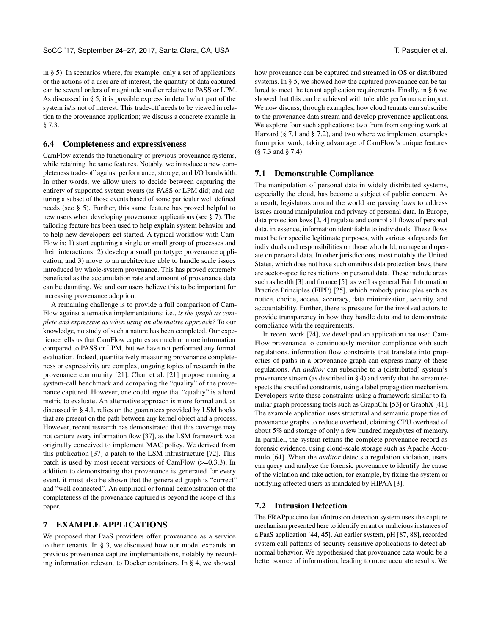in [§ 5\)](#page-5-0). In scenarios where, for example, only a set of applications or the actions of a user are of interest, the quantity of data captured can be several orders of magnitude smaller relative to PASS or LPM. As discussed in [§ 5,](#page-5-0) it is possible express in detail what part of the system is/is not of interest. This trade-off needs to be viewed in relation to the provenance application; we discuss a concrete example in [§ 7.3.](#page-10-1)

# 6.4 Completeness and expressiveness

CamFlow extends the functionality of previous provenance systems, while retaining the same features. Notably, we introduce a new completeness trade-off against performance, storage, and I/O bandwidth. In other words, we allow users to decide between capturing the entirety of supported system events (as PASS or LPM did) and capturing a subset of those events based of some particular well defined needs (see [§ 5\)](#page-5-0). Further, this same feature has proved helpful to new users when developing provenance applications (see [§ 7\)](#page-9-0). The tailoring feature has been used to help explain system behavior and to help new developers get started. A typical workflow with Cam-Flow is: 1) start capturing a single or small group of processes and their interactions; 2) develop a small prototype provenance application; and 3) move to an architecture able to handle scale issues introduced by whole-system provenance. This has proved extremely beneficial as the accumulation rate and amount of provenance data can be daunting. We and our users believe this to be important for increasing provenance adoption.

A remaining challenge is to provide a full comparison of Cam-Flow against alternative implementations: i.e., *is the graph as complete and expressive as when using an alternative approach?* To our knowledge, no study of such a nature has been completed. Our experience tells us that CamFlow captures as much or more information compared to PASS or LPM, but we have not performed any formal evaluation. Indeed, quantitatively measuring provenance completeness or expressivity are complex, ongoing topics of research in the provenance community [\[21\]](#page-12-30). Chan et al. [\[21\]](#page-12-30) propose running a system-call benchmark and comparing the "quality" of the provenance captured. However, one could argue that "quality" is a hard metric to evaluate. An alternative approach is more formal and, as discussed in [§ 4.1,](#page-3-2) relies on the guarantees provided by LSM hooks that are present on the path between any kernel object and a process. However, recent research has demonstrated that this coverage may not capture every information flow [\[37\]](#page-12-31), as the LSM framework was originally conceived to implement MAC policy. We derived from this publication [\[37\]](#page-12-31) a patch to the LSM infrastructure [\[72\]](#page-13-21). This patch is used by most recent versions of CamFlow (>=0.3.3). In addition to demonstrating that provenance is generated for every event, it must also be shown that the generated graph is "correct" and "well connected". An empirical or formal demonstration of the completeness of the provenance captured is beyond the scope of this paper.

# <span id="page-9-0"></span>7 EXAMPLE APPLICATIONS

We proposed that PaaS providers offer provenance as a service to their tenants. In [§ 3,](#page-2-5) we discussed how our model expands on previous provenance capture implementations, notably by recording information relevant to Docker containers. In [§ 4,](#page-2-0) we showed

how provenance can be captured and streamed in OS or distributed systems. In [§ 5,](#page-5-0) we showed how the captured provenance can be tailored to meet the tenant application requirements. Finally, in [§ 6](#page-6-2) we showed that this can be achieved with tolerable performance impact. We now discuss, through examples, how cloud tenants can subscribe to the provenance data stream and develop provenance applications. We explore four such applications: two from from ongoing work at Harvard [\(§ 7.1](#page-9-1) and [§ 7.2\)](#page-9-2), and two where we implement examples from prior work, taking advantage of CamFlow's unique features [\(§ 7.3](#page-10-1) and [§ 7.4\)](#page-10-0).

### <span id="page-9-1"></span>7.1 Demonstrable Compliance

The manipulation of personal data in widely distributed systems, especially the cloud, has become a subject of public concern. As a result, legislators around the world are passing laws to address issues around manipulation and privacy of personal data. In Europe, data protection laws [\[2,](#page-11-8) [4\]](#page-11-9) regulate and control all flows of personal data, in essence, information identifiable to individuals. These flows must be for specific legitimate purposes, with various safeguards for individuals and responsibilities on those who hold, manage and operate on personal data. In other jurisdictions, most notably the United States, which does not have such omnibus data protection laws, there are sector-specific restrictions on personal data. These include areas such as health [\[3\]](#page-11-10) and finance [\[5\]](#page-11-11), as well as general Fair Information Practice Principles (FIPP) [\[25\]](#page-12-32), which embody principles such as notice, choice, access, accuracy, data minimization, security, and accountability. Further, there is pressure for the involved actors to provide transparency in how they handle data and to demonstrate compliance with the requirements.

In recent work [\[74\]](#page-13-22), we developed an application that used Cam-Flow provenance to continuously monitor compliance with such regulations. information flow constraints that translate into properties of paths in a provenance graph can express many of these regulations. An *auditor* can subscribe to a (distributed) system's provenance stream (as described in [§ 4\)](#page-2-0) and verify that the stream respects the specified constraints, using a label propagation mechanism. Developers write these constraints using a framework similar to familiar graph processing tools such as GraphChi [\[53\]](#page-12-33) or GraphX [\[41\]](#page-12-34). The example application uses structural and semantic properties of provenance graphs to reduce overhead, claiming CPU overhead of about 5% and storage of only a few hundred megabytes of memory. In parallel, the system retains the complete provenance record as forensic evidence, using cloud-scale storage such as Apache Accumulo [\[64\]](#page-12-29). When the *auditor* detects a regulation violation, users can query and analyze the forensic provenance to identify the cause of the violation and take action, for example, by fixing the system or notifying affected users as mandated by HIPAA [\[3\]](#page-11-10).

# <span id="page-9-2"></span>7.2 Intrusion Detection

The FRAPpuccino fault/intrusion detection system uses the capture mechanism presented here to identify errant or malicious instances of a PaaS application [\[44,](#page-12-35) [45\]](#page-12-36). An earlier system, pH [\[87,](#page-13-23) [88\]](#page-13-24), recorded system call patterns of security-sensitive applications to detect abnormal behavior. We hypothesised that provenance data would be a better source of information, leading to more accurate results. We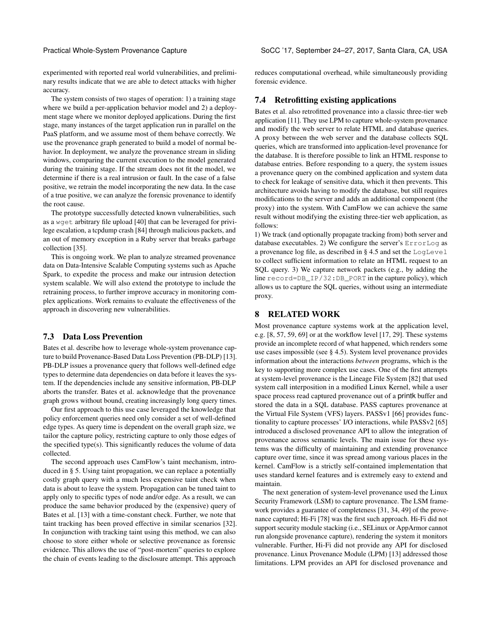experimented with reported real world vulnerabilities, and preliminary results indicate that we are able to detect attacks with higher accuracy.

The system consists of two stages of operation: 1) a training stage where we build a per-application behavior model and 2) a deployment stage where we monitor deployed applications. During the first stage, many instances of the target application run in parallel on the PaaS platform, and we assume most of them behave correctly. We use the provenance graph generated to build a model of normal behavior. In deployment, we analyze the provenance stream in sliding windows, comparing the current execution to the model generated during the training stage. If the stream does not fit the model, we determine if there is a real intrusion or fault. In the case of a false positive, we retrain the model incorporating the new data. In the case of a true positive, we can analyze the forensic provenance to identify the root cause.

The prototype successfully detected known vulnerabilities, such as a wget arbitrary file upload [\[40\]](#page-12-37) that can be leveraged for privilege escalation, a tcpdump crash [\[84\]](#page-13-25) through malicious packets, and an out of memory exception in a Ruby server that breaks garbage collection [\[35\]](#page-12-38).

This is ongoing work. We plan to analyze streamed provenance data on Data-Intensive Scalable Computing systems such as Apache Spark, to expedite the process and make our intrusion detection system scalable. We will also extend the prototype to include the retraining process, to further improve accuracy in monitoring complex applications. Work remains to evaluate the effectiveness of the approach in discovering new vulnerabilities.

# <span id="page-10-1"></span>7.3 Data Loss Prevention

Bates et al. describe how to leverage whole-system provenance capture to build Provenance-Based Data Loss Prevention (PB-DLP) [\[13\]](#page-11-0). PB-DLP issues a provenance query that follows well-defined edge types to determine data dependencies on data before it leaves the system. If the dependencies include any sensitive information, PB-DLP aborts the transfer. Bates et al. acknowledge that the provenance graph grows without bound, creating increasingly long query times.

Our first approach to this use case leveraged the knowledge that policy enforcement queries need only consider a set of well-defined edge types. As query time is dependent on the overall graph size, we tailor the capture policy, restricting capture to only those edges of the specified type(s). This significantly reduces the volume of data collected.

The second approach uses CamFlow's taint mechanism, introduced in [§ 5.](#page-5-0) Using taint propagation, we can replace a potentially costly graph query with a much less expensive taint check when data is about to leave the system. Propagation can be tuned taint to apply only to specific types of node and/or edge. As a result, we can produce the same behavior produced by the (expensive) query of Bates et al. [\[13\]](#page-11-0) with a time-constant check. Further, we note that taint tracking has been proved effective in similar scenarios [\[32\]](#page-12-21). In conjunction with tracking taint using this method, we can also choose to store either whole or selective provenance as forensic evidence. This allows the use of "post-mortem" queries to explore the chain of events leading to the disclosure attempt. This approach

reduces computational overhead, while simultaneously providing forensic evidence.

# <span id="page-10-0"></span>7.4 Retrofitting existing applications

Bates et al. also retrofitted provenance into a classic three-tier web application [\[11\]](#page-11-12). They use LPM to capture whole-system provenance and modify the web server to relate HTML and database queries. A proxy between the web server and the database collects SQL queries, which are transformed into application-level provenance for the database. It is therefore possible to link an HTML response to database entries. Before responding to a query, the system issues a provenance query on the combined application and system data to check for leakage of sensitive data, which it then prevents. This architecture avoids having to modify the database, but still requires modifications to the server and adds an additional component (the proxy) into the system. With CamFlow we can achieve the same result without modifying the existing three-tier web application, as follows:

1) We track (and optionally propagate tracking from) both server and database executables. 2) We configure the server's ErrorLog as a provenance log file, as described in [§ 4.5](#page-4-0) and set the LogLevel to collect sufficient information to relate an HTML request to an SQL query. 3) We capture network packets (e.g., by adding the line record=DB\_IP/32:DB\_PORT in the capture policy), which allows us to capture the SQL queries, without using an intermediate proxy.

# 8 RELATED WORK

Most provenance capture systems work at the application level, e.g. [\[8,](#page-11-13) [57,](#page-12-19) [59,](#page-12-39) [69\]](#page-13-26) or at the workflow level [\[17,](#page-12-40) [29\]](#page-12-41). These systems provide an incomplete record of what happened, which renders some use cases impossible (see [§ 4.5\)](#page-4-0). System level provenance provides information about the interactions *between* programs, which is the key to supporting more complex use cases. One of the first attempts at system-level provenance is the Lineage File System [\[82\]](#page-13-27) that used system call interposition in a modified Linux Kernel, while a user space process read captured provenance out of a printk buffer and stored the data in a SQL database. PASS captures provenance at the Virtual File System (VFS) layers. PASSv1 [\[66\]](#page-12-2) provides functionality to capture processes' I/O interactions, while PASSv2 [\[65\]](#page-12-9) introduced a disclosed provenance API to allow the integration of provenance across semantic levels. The main issue for these systems was the difficulty of maintaining and extending provenance capture over time, since it was spread among various places in the kernel. CamFlow is a strictly self-contained implementation that uses standard kernel features and is extremely easy to extend and maintain.

The next generation of system-level provenance used the Linux Security Framework (LSM) to capture provenance. The LSM framework provides a guarantee of completeness [\[31,](#page-12-42) [34,](#page-12-43) [49\]](#page-12-44) of the provenance captured; Hi-Fi [\[78\]](#page-13-5) was the first such approach. Hi-Fi did not support security module stacking (i.e., SELinux or AppArmor cannot run alongside provenance capture), rendering the system it monitors vulnerable. Further, Hi-Fi did not provide any API for disclosed provenance. Linux Provenance Module (LPM) [\[13\]](#page-11-0) addressed those limitations. LPM provides an API for disclosed provenance and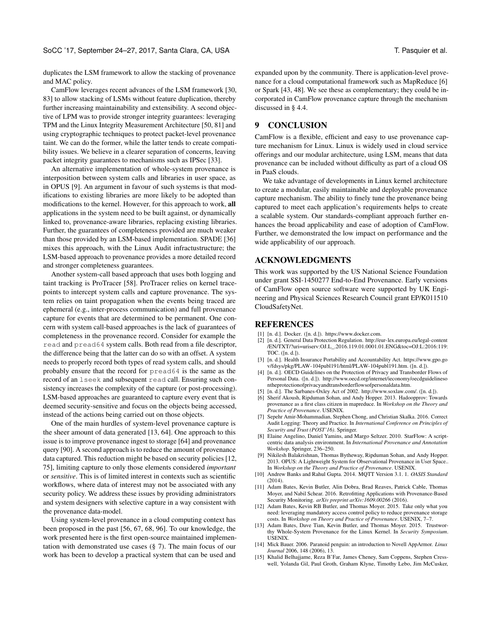duplicates the LSM framework to allow the stacking of provenance and MAC policy.

CamFlow leverages recent advances of the LSM framework [\[30,](#page-12-45) [83\]](#page-13-12) to allow stacking of LSMs without feature duplication, thereby further increasing maintainability and extensibility. A second objective of LPM was to provide stronger integrity guarantees: leveraging TPM and the Linux Integrity Measurement Architecture [\[50,](#page-12-15) [81\]](#page-13-14) and using cryptographic techniques to protect packet-level provenance taint. We can do the former, while the latter tends to create compatibility issues. We believe in a clearer separation of concerns, leaving packet integrity guarantees to mechanisms such as IPSec [\[33\]](#page-12-46).

An alternative implementation of whole-system provenance is interposition between system calls and libraries in user space, as in OPUS [\[9\]](#page-11-14). An argument in favour of such systems is that modifications to existing libraries are more likely to be adopted than modifications to the kernel. However, for this approach to work, all applications in the system need to be built against, or dynamically linked to, provenance-aware libraries, replacing existing libraries. Further, the guarantees of completeness provided are much weaker than those provided by an LSM-based implementation. SPADE [\[36\]](#page-12-27) mixes this approach, with the Linux Audit infractustructure; the LSM-based approach to provenance provides a more detailed record and stronger completeness guarantees.

Another system-call based approach that uses both logging and taint tracking is ProTracer [\[58\]](#page-12-47). ProTracer relies on kernel tracepoints to intercept system calls and capture provenance. The system relies on taint propagation when the events being traced are ephemeral (e.g., inter-process communication) and full provenance capture for events that are determined to be permanent. One concern with system call-based approaches is the lack of guarantees of completeness in the provenance record. Consider for example the read and pread64 system calls. Both read from a file descriptor, the difference being that the latter can do so with an offset. A system needs to properly record both types of read system calls, and should probably ensure that the record for pread64 is the same as the record of an lseek and subsequent read call. Ensuring such consistency increases the complexity of the capture (or post-processing). LSM-based approaches are guaranteed to capture every event that is deemed security-sensitive and focus on the objects being accessed, instead of the actions being carried out on those objects.

One of the main hurdles of system-level provenance capture is the sheer amount of data generated [\[13,](#page-11-0) [64\]](#page-12-29). One approach to this issue is to improve provenance ingest to storage [\[64\]](#page-12-29) and provenance query [\[90\]](#page-13-28). A second approach is to reduce the amount of provenance data captured. This reduction might be based on security policies [\[12,](#page-11-1) [75\]](#page-13-3), limiting capture to only those elements considered *important* or *sensitive*. This is of limited interest in contexts such as scientific workflows, where data of interest may not be associated with any security policy. We address these issues by providing administrators and system designers with selective capture in a way consistent with the provenance data-model.

Using system-level provenance in a cloud computing context has been proposed in the past [\[56,](#page-12-48) [67,](#page-12-49) [68,](#page-12-50) [96\]](#page-13-29). To our knowledge, the work presented here is the first open-source maintained implementation with demonstrated use cases [\(§ 7\)](#page-9-0). The main focus of our work has been to develop a practical system that can be used and

expanded upon by the community. There is application-level provenance for a cloud computational framework such as MapReduce [\[6\]](#page-11-7) or Spark [\[43,](#page-12-51) [48\]](#page-12-52). We see these as complementary; they could be incorporated in CamFlow provenance capture through the mechanism discussed in [§ 4.4.](#page-4-1)

# 9 CONCLUSION

CamFlow is a flexible, efficient and easy to use provenance capture mechanism for Linux. Linux is widely used in cloud service offerings and our modular architecture, using LSM, means that data provenance can be included without difficulty as part of a cloud OS in PaaS clouds.

We take advantage of developments in Linux kernel architecture to create a modular, easily maintainable and deployable provenance capture mechanism. The ability to finely tune the provenance being captured to meet each application's requirements helps to create a scalable system. Our standards-compliant approach further enhances the broad applicability and ease of adoption of CamFlow. Further, we demonstrated the low impact on performance and the wide applicability of our approach.

# ACKNOWLEDGMENTS

This work was supported by the US National Science Foundation under grant SSI-1450277 End-to-End Provenance. Early versions of CamFlow open source software were supported by UK Engineering and Physical Sciences Research Council grant EP/K011510 CloudSafetyNet.

### REFERENCES

- <span id="page-11-4"></span>[1] [n. d.]. Docker. ([n. d.]). [https://www.docker.com.](https://www.docker.com)
- <span id="page-11-8"></span>[2] [n. d.]. General Data Protection Regulation. [http://eur-lex.europa.eu/legal-content](http://eur-lex.europa.eu/legal-content/EN/TXT/?uri=uriserv:OJ.L_.2016.119.01.0001.01.ENG&toc=OJ:L:2016:119:TOC) [/EN/TXT/?uri=uriserv:OJ.L\\_.2016.119.01.0001.01.ENG&toc=OJ:L:2016:119:](http://eur-lex.europa.eu/legal-content/EN/TXT/?uri=uriserv:OJ.L_.2016.119.01.0001.01.ENG&toc=OJ:L:2016:119:TOC) [TOC.](http://eur-lex.europa.eu/legal-content/EN/TXT/?uri=uriserv:OJ.L_.2016.119.01.0001.01.ENG&toc=OJ:L:2016:119:TOC) ([n. d.]).
- <span id="page-11-10"></span>[3] [n. d.]. Health Insurance Portability and Accountability Act. [https://www.gpo.go](https://www.gpo.gov/fdsys/pkg/PLAW-104publ191/html/PLAW-104publ191.htm) [v/fdsys/pkg/PLAW-104publ191/html/PLAW-104publ191.htm.](https://www.gpo.gov/fdsys/pkg/PLAW-104publ191/html/PLAW-104publ191.htm) ([n. d.]).
- <span id="page-11-9"></span>[4] [n. d.]. OECD Guidelines on the Protection of Privacy and Transborder Flows of Personal Data. ([n. d.]). [http://www.oecd.org/internet/ieconomy/oecdguidelineso](http://www.oecd.org/internet/ieconomy/oecdguidelinesontheprotectionofprivacyandtransborderflowsofpersonaldata.htm) [ntheprotectionofprivacyandtransborderflowsofpersonaldata.htm.](http://www.oecd.org/internet/ieconomy/oecdguidelinesontheprotectionofprivacyandtransborderflowsofpersonaldata.htm)
- <span id="page-11-11"></span>[5] [n. d.]. The Sarbanes-Oxley Act of 2002. [http://www.soxlaw.com/.](http://www.soxlaw.com/) ([n. d.]).
- <span id="page-11-7"></span>[6] Sherif Akoush, Ripduman Sohan, and Andy Hopper. 2013. Hadoopprov: Towards provenance as a first class citizen in mapreduce. In *Workshop on the Theory and Practice of Provenance*. USENIX.
- <span id="page-11-2"></span>[7] Sepehr Amir-Mohammadian, Stephen Chong, and Christian Skalka. 2016. Correct Audit Logging: Theory and Practice. In *International Conference on Principles of Security and Trust (POST'16)*. Springer.
- <span id="page-11-13"></span>[8] Elaine Angelino, Daniel Yamins, and Margo Seltzer. 2010. StarFlow: A scriptcentric data analysis environment. In *International Provenance and Annotation Workshop*. Springer, 236–250.
- <span id="page-11-14"></span>[9] Nikilesh Balakrishnan, Thomas Bytheway, Ripduman Sohan, and Andy Hopper. 2013. OPUS: A Lightweight System for Observational Provenance in User Space.. In *Workshop on the Theory and Practice of Provenance*. USENIX.
- <span id="page-11-6"></span>[10] Andrew Banks and Rahul Gupta. 2014. MQTT Version 3.1. 1. *OASIS Standard* (2014).
- <span id="page-11-12"></span>[11] Adam Bates, Kevin Butler, Alin Dobra, Brad Reaves, Patrick Cable, Thomas Moyer, and Nabil Schear. 2016. Retrofitting Applications with Provenance-Based Security Monitoring. *arXiv preprint arXiv:1609.00266* (2016).
- <span id="page-11-1"></span>[12] Adam Bates, Kevin RB Butler, and Thomas Moyer. 2015. Take only what you need: leveraging mandatory access control policy to reduce provenance storage costs. In *Workshop on Theory and Practice of Provenance*. USENIX, 7–7.
- <span id="page-11-0"></span>[13] Adam Bates, Dave Tian, Kevin Butler, and Thomas Moyer. 2015. Trustworthy Whole-System Provenance for the Linux Kernel. In *Security Symposium*. **USENIX**
- <span id="page-11-5"></span>[14] Mick Bauer. 2006. Paranoid penguin: an introduction to Novell AppArmor. *Linux Journal* 2006, 148 (2006), 13.
- <span id="page-11-3"></span>[15] Khalid Belhajjame, Reza B'Far, James Cheney, Sam Coppens, Stephen Cresswell, Yolanda Gil, Paul Groth, Graham Klyne, Timothy Lebo, Jim McCusker,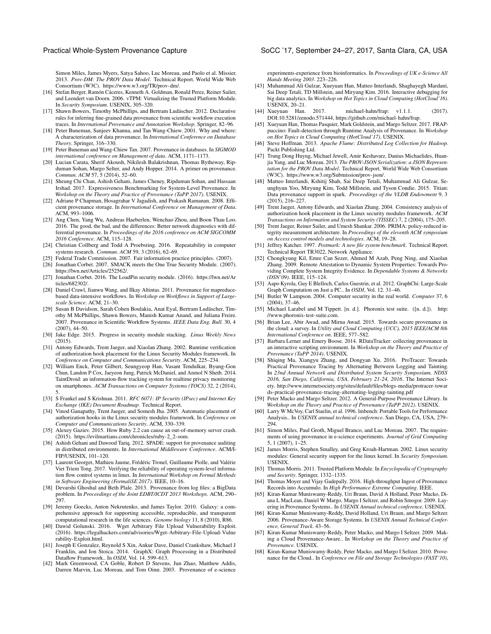Simon Miles, James Myers, Satya Sahoo, Luc Moreau, and Paolo et al. Missier. 2013. *Prov-DM: The PROV Data Model*. Technical Report. World Wide Web Consortium (W3C). [https://www.w3.org/TR/prov-dm/.](https://www.w3.org/TR/prov-dm/)

- <span id="page-12-13"></span>[16] Stefan Berger, Ramón Cáceres, Kenneth A. Goldman, Ronald Perez, Reiner Sailer, and Leendert van Doorn. 2006. vTPM: Virtualizing the Trusted Platform Module. In *Security Symposium*. USENIX, 305–320.
- <span id="page-12-40"></span>[17] Shawn Bowers, Timothy McPhillips, and Bertram Ludäscher. 2012. Declarative rules for inferring fine-grained data provenance from scientific workflow execution traces. In *International Provenance and Annotation Workshop*. Springer, 82–96.
- <span id="page-12-3"></span>[18] Peter Buneman, Sanjeev Khanna, and Tan Wang-Chiew. 2001. Why and where: A characterization of data provenance. In *International Conference on Database Theory*. Springer, 316–330.
- <span id="page-12-17"></span>[19] Peter Buneman and Wang-Chiew Tan. 2007. Provenance in databases. In *SIGMOD international conference on Management of data*. ACM, 1171–1173.
- <span id="page-12-0"></span>[20] Lucian Carata, Sherif Akoush, Nikilesh Balakrishnan, Thomas Bytheway, Ripduman Sohan, Margo Selter, and Andy Hopper. 2014. A primer on provenance. *Commun. ACM* 57, 5 (2014), 52–60.
- <span id="page-12-30"></span>[21] Sheung Chi Chan, Ashish Gehani, James Cheney, Ripduman Sohan, and Hassaan Irshad. 2017. Expressiveness Benchmarking for System-Level Provenance. In *Workshop on the Theory and Practice of Provenance (TaPP 2017)*. USENIX.
- <span id="page-12-28"></span>[22] Adriane P Chapman, Hosagrahar V Jagadish, and Prakash Ramanan. 2008. Efficient provenance storage. In *International Conference on Management of Data*. ACM, 993–1006.
- <span id="page-12-7"></span>[23] Ang Chen, Yang Wu, Andreas Haeberlen, Wenchao Zhou, and Boon Thau Loo. 2016. The good, the bad, and the differences: Better network diagnostics with differential provenance. In *Proceedings of the 2016 conference on ACM SIGCOMM 2016 Conference*. ACM, 115–128.
- <span id="page-12-23"></span>[24] Christian Collberg and Todd A Proebsting. 2016. Repeatability in computer systems research. *Commun. ACM* 59, 3 (2016), 62–69.
- <span id="page-12-32"></span>[25] Federal Trade Commission. 2007. Fair information practice principles. (2007).
- <span id="page-12-10"></span>[26] Jonathan Corbet. 2007. SMACK meets the One True Security Module. (2007). [https://lwn.net/Articles/252562/.](https://lwn.net/Articles/252562/)
- <span id="page-12-11"></span>[27] Jonathan Corbet. 2016. The LoadPin security module. (2016). [https://lwn.net/Ar](https://lwn.net/Articles/682302/) [ticles/682302/.](https://lwn.net/Articles/682302/)
- <span id="page-12-18"></span>[28] Daniel Crawl, Jianwu Wang, and Ilkay Altintas, 2011. Provenance for mapreducebased data-intensive workflows. In *Workshop on Workflows in Support of Largescale Science*. ACM, 21–30.
- <span id="page-12-41"></span>[29] Susan B Davidson, Sarah Cohen Boulakia, Anat Eyal, Bertram Ludäscher, Timothy M McPhillips, Shawn Bowers, Manish Kumar Anand, and Juliana Freire. 2007. Provenance in Scientific Workflow Systems. *IEEE Data Eng. Bull.* 30, 4 (2007), 44–50.
- <span id="page-12-45"></span>[30] Jake Edge. 2015. Progress in security module stacking. *Linux Weekly News* (2015).
- <span id="page-12-42"></span>[31] Antony Edwards, Trent Jaeger, and Xiaolan Zhang. 2002. Runtime verification of authorization hook placement for the Linux Security Modules framework. In *Conference on Computer and Communications Security*. ACM, 225–234.
- <span id="page-12-21"></span>[32] William Enck, Peter Gilbert, Seungyeop Han, Vasant Tendulkar, Byung-Gon Chun, Landon P Cox, Jaeyeon Jung, Patrick McDaniel, and Anmol N Sheth. 2014. TaintDroid: an information-flow tracking system for realtime privacy monitoring on smartphones. *ACM Transactions on Computer Systems (TOCS)* 32, 2 (2014), 5.
- <span id="page-12-46"></span>[33] S Frankel and S Krishnan. 2011. *RFC 6071: IP Security (IPsec) and Internet Key Exchange (IKE) Document Roadmap*. Technical Report.
- <span id="page-12-43"></span>[34] Vinod Ganapathy, Trent Jaeger, and Somesh Jha. 2005. Automatic placement of authorization hooks in the Linux security modules framework. In *Conference on Computer and Communications Security*. ACM, 330–339.
- <span id="page-12-38"></span>[35] Alexey Gaziev. 2015. How Ruby 2.2 can cause an out-of-memory server crash. (2015). [https://evilmartians.com/chronicles/ruby-2\\_2-oom.](https://evilmartians.com/chronicles/ruby-2_2-oom)
- <span id="page-12-27"></span>[36] Ashish Gehani and Dawood Tariq. 2012. SPADE: support for provenance auditing in distributed environments. In *International Middleware Conference*. ACM/I-FIP/USENIX, 101–120.
- <span id="page-12-31"></span>[37] Laurent Georget, Mathieu Jaume, Frédéric Tronel, Guillaume Piolle, and Valérie Viet Triem Tong. 2017. Verifying the reliability of operating system-level information flow control systems in linux. In *International Workshop on Formal Methods in Software Engineering (FormaliSE 2017)*. IEEE, 10–16.
- <span id="page-12-20"></span>[38] Devarshi Ghoshal and Beth Plale. 2013. Provenance from log files: a BigData problem. In *Proceedings of the Joint EDBT/ICDT 2013 Workshops*. ACM, 290– 297.
- <span id="page-12-1"></span>[39] Jeremy Goecks, Anton Nekrutenko, and James Taylor. 2010. Galaxy: a comprehensive approach for supporting accessible, reproducible, and transparent computational research in the life sciences. *Genome biology* 11, 8 (2010), R86.
- <span id="page-12-37"></span>[40] Dawid Golunski. 2016. Wget Arbitrary File Upload Vulnerability Exploit. (2016). [https://legalhackers.com/advisories/Wget-Arbitrary-File-Upload-Vulne](https://legalhackers.com/advisories/Wget-Arbitrary-File-Upload-Vulnerability-Exploit.html) [rability-Exploit.html.](https://legalhackers.com/advisories/Wget-Arbitrary-File-Upload-Vulnerability-Exploit.html)
- <span id="page-12-34"></span>[41] Joseph E Gonzalez, Reynold S Xin, Ankur Dave, Daniel Crankshaw, Michael J Franklin, and Ion Stoica. 2014. GraphX: Graph Processing in a Distributed Dataflow Framework.. In *OSDI*, Vol. 14. 599–613.
- <span id="page-12-5"></span>[42] Mark Greenwood, CA Goble, Robert D Stevens, Jun Zhao, Matthew Addis, Darren Marvin, Luc Moreau, and Tom Oinn. 2003. Provenance of e-science

experiments-experience from bioinformatics. In *Proceedings of UK e-Science All Hands Meeting 2003*. 223–226.

- <span id="page-12-51"></span>[43] Muhammad Ali Gulzar, Xueyuan Han, Matteo Interlandi, Shaghayegh Mardani, Sai Deep Tetali, TD Millstein, and Miryung Kim. 2016. Interactive debugging for big data analytics. In *Workshop on Hot Topics in Cloud Computing (HotCloud'16)*. USENIX, 20–21.
- <span id="page-12-35"></span>[44] Xueyuan Han. 2017. michael-hahn/frap: v1.1.1. (2017). DOI:10.5281/zenodo.571444, [https://github.com/michael-hahn/frap.](https://github.com/michael-hahn/frap)
- <span id="page-12-36"></span>[45] Xueyuan Han, Thomas Pasquier, Mark Goldstein, and Margo Seltzer. 2017. FRAPpuccino: Fault-detection through Runtime Analysis of Provenance. In *Workshop on Hot Topics in Cloud Computing (HotCloud'17)*. USENIX.
- <span id="page-12-16"></span>[46] Steve Hoffman. 2013. *Apache Flume: Distributed Log Collection for Hadoop*. Packt Publishing Ltd.
- <span id="page-12-8"></span>[47] Trung Dong Huyng, Michael Jewell, Amir Keshavarz, Danius Michaelides, Huanjia Yang, and Luc Moreau. 2013. *The PROV-JSON Serialization: a JSON Representation for the PROV Data Model*. Technical Report. World Wide Web Consortium (W3C). [https://www.w3.org/Submission/prov-json/.](https://www.w3.org/Submission/prov-json/)
- <span id="page-12-52"></span>[48] Matteo Interlandi, Kshitij Shah, Sai Deep Tetali, Muhammad Ali Gulzar, Seunghyun Yoo, Miryung Kim, Todd Millstein, and Tyson Condie. 2015. Titian: Data provenance support in spark. *Proceedings of the VLDB Endowment* 9, 3 (2015), 216–227.
- <span id="page-12-44"></span>[49] Trent Jaeger, Antony Edwards, and Xiaolan Zhang. 2004. Consistency analysis of authorization hook placement in the Linux security modules framework. *ACM Transactions on Information and System Security (TISSEC)* 7, 2 (2004), 175–205.
- <span id="page-12-15"></span>[50] Trent Jaeger, Reiner Sailer, and Umesh Shankar. 2006. PRIMA: policy-reduced integrity measurement architecture. In *Proceedings of the eleventh ACM symposium on Access control models and technologies*. ACM, 19–28.
- <span id="page-12-26"></span>[51] Jeffrey Katcher. 1997. *Postmark: A new file system benchmark*. Technical Report. Technical Report TR3022, Network Appliance.
- <span id="page-12-14"></span>[52] Chongkyung Kil, Emre Can Sezer, Ahmed M Azab, Peng Ning, and Xiaolan Zhang. 2009. Remote Attestation to Dynamic System Properties: Towards Providing Complete System Integrity Evidence. In *Dependable Systems & Networks (DSN'09)*. IEEE, 115–124.
- <span id="page-12-33"></span>[53] Aapo Kyrola, Guy E Blelloch, Carlos Guestrin, et al. 2012. GraphChi: Large-Scale Graph Computation on Just a PC.. In *OSDI*, Vol. 12. 31–46.
- <span id="page-12-4"></span>[54] Butler W Lampson. 2004. Computer security in the real world. *Computer* 37, 6 (2004), 37–46.
- <span id="page-12-25"></span>[55] Michael Larabel and M Tippett. [n. d.]. Phoronix test suite. ([n. d.]). [http:](http://www.phoronix-test-suite.com) [//www.phoronix-test-suite.com.](http://www.phoronix-test-suite.com)
- <span id="page-12-48"></span>[56] Brian Lee, Abir Awad, and Mirna Awad. 2015. Towards secure provenance in the cloud: a survey. In *Utility and Cloud Computing (UCC), 2015 IEEE/ACM 8th International Conference on*. IEEE, 577–582.
- <span id="page-12-19"></span>[57] Barbara Lerner and Emery Boose. 2014. RDataTracker: collecting provenance in an interactive scripting environment. In *Workshop on the Theory and Practice of Provenance (TaPP 2014)*. USENIX.
- <span id="page-12-47"></span>[58] Shiqing Ma, Xiangyu Zhang, and Dongyan Xu. 2016. ProTracer: Towards Practical Provenance Tracing by Alternating Between Logging and Tainting. In *23nd Annual Network and Distributed System Security Symposium, NDSS 2016, San Diego, California, USA, February 21-24, 2016*. The Internet Society. [http://www.internetsociety.org/sites/default/files/blogs-media/protracer-towar](http://www.internetsociety.org/sites/default/files/blogs-media/protracer-towards-practical-provenance-tracing-alternating-logging-tainting.pdf) [ds-practical-provenance-tracing-alternating-logging-tainting.pdf](http://www.internetsociety.org/sites/default/files/blogs-media/protracer-towards-practical-provenance-tracing-alternating-logging-tainting.pdf)
- <span id="page-12-39"></span>[59] Peter Macko and Margo Seltzer. 2012. A General-Purpose Provenance Library. In *Workshop on the Theory and Practice of Provenance (TaPP 2012)*. USENIX.
- <span id="page-12-24"></span>[60] Larry W McVoy, Carl Staelin, et al. 1996. lmbench: Portable Tools for Performance Analysis.. In *USENIX annual technical conference*. San Diego, CA, USA, 279– 294.
- <span id="page-12-6"></span>[61] Simon Miles, Paul Groth, Miguel Branco, and Luc Moreau. 2007. The requirements of using provenance in e-science experiments. *Journal of Grid Computing* 5, 1 (2007), 1–25.
- <span id="page-12-22"></span>[62] James Morris, Stephen Smalley, and Greg Kroah-Hartman. 2002. Linux security modules: General security support for the linux kernel. In *Security Symposium*. USENIX.
- <span id="page-12-12"></span>[63] Thomas Morris. 2011. Trusted Platform Module. In *Encyclopedia of Cryptography and Security*. Springer, 1332–1335.
- <span id="page-12-29"></span>[64] Thomas Moyer and Vijay Gadepally. 2016. High-throughput Ingest of Provenance Records into Accumulo. In *High Performance Extreme Computing*. IEEE.
- <span id="page-12-9"></span>[65] Kiran-Kumar Muniswamy-Reddy, Uri Braun, David A Holland, Peter Macko, Diana L MacLean, Daniel W Margo, Margo I Seltzer, and Robin Smogor. 2009. Layering in Provenance Systems.. In *USENIX Annual technical conference*. USENIX.
- <span id="page-12-2"></span>[66] Kiran-Kumar Muniswamy-Reddy, David Holland, Uri Braun, and Margo Seltzer. 2006. Provenance-Aware Storage Systems. In *USENIX Annual Technical Conference, General Track*. 43–56.
- <span id="page-12-49"></span>[67] Kiran-Kumar Muniswamy-Reddy, Peter Macko, and Margo I Seltzer. 2009. Making a Cloud Provenance-Aware.. In *Workshop on the Theory and Practice of Provenance*. USENIX.
- <span id="page-12-50"></span>[68] Kiran-Kumar Muniswamy-Reddy, Peter Macko, and Margo I Seltzer. 2010. Provenance for the Cloud.. In *Conference on File and Storage Technologies (FAST'10)*,